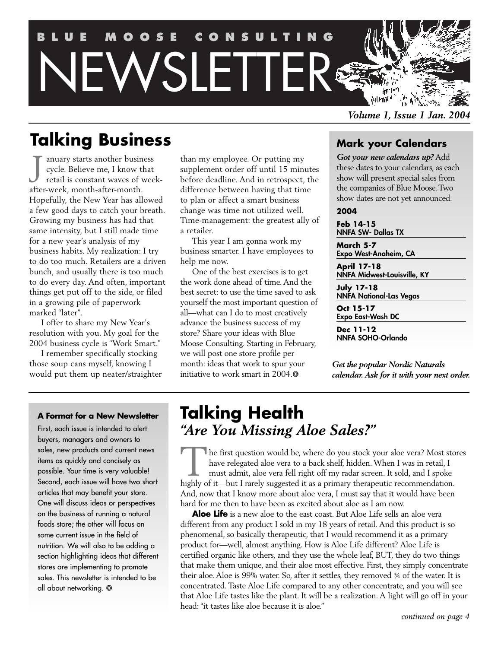## **BLUE MOOSE CONSULTING** WSLETTER 高麗 刺痛

*Volume 1, Issue 1 Jan. 2004*

## **Talking Business**

anuary starts another business cycle. Believe me, I know that retail is constant waves of week-January starts another busin<br>cycle. Believe me, I know t<br>retail is constant waves of v<br>after-week, month-after-month. Hopefully, the New Year has allowed a few good days to catch your breath. Growing my business has had that same intensity, but I still made time for a new year's analysis of my business habits. My realization: I try to do too much. Retailers are a driven bunch, and usually there is too much to do every day. And often, important things get put off to the side, or filed in a growing pile of paperwork marked "later".

I offer to share my New Year's resolution with you. My goal for the 2004 business cycle is "Work Smart."

I remember specifically stocking those soup cans myself, knowing I would put them up neater/straighter than my employee. Or putting my supplement order off until 15 minutes before deadline. And in retrospect, the difference between having that time to plan or affect a smart business change was time not utilized well. Time-management: the greatest ally of a retailer.

This year I am gonna work my business smarter. I have employees to help me now.

One of the best exercises is to get the work done ahead of time. And the best secret: to use the time saved to ask yourself the most important question of all—what can I do to most creatively advance the business success of my store? Share your ideas with Blue Moose Consulting. Starting in February, we will post one store profile per month: ideas that work to spur your initiative to work smart in 2004. $*$ 

### **Mark your Calendars**

*Got your new calendars up?* Add these dates to your calendars, as each show will present special sales from the companies of Blue Moose. Two show dates are not yet announced.

#### **2004**

**Feb 14-15** NNFA SW- Dallas TX

**March 5-7** Expo West-Anaheim, CA

**April 17-18** NNFA Midwest-Louisville, KY

**July 17-18** NNFA National-Las Vegas

**Oct 15-17** Expo East-Wash DC

**Dec 11-12** NNFA SOHO-Orlando

*Get the popular Nordic Naturals calendar. Ask for it with your next order.*

#### **A Format for a New Newsletter**

First, each issue is intended to alert buyers, managers and owners to sales, new products and current news items as quickly and concisely as possible. Your time is very valuable! Second, each issue will have two short articles that may benefit your store. One will discuss ideas or perspectives on the business of running a natural foods store; the other will focus on some current issue in the field of nutrition. We will also to be adding a section highlighting ideas that different stores are implementing to promote sales. This newsletter is intended to be all about networking.  $*$ 

## **Talking Health** *"Are You Missing Aloe Sales?"*

The first question would be, where do you stock your aloe vera? Most stores have relegated aloe vera to a back shelf, hidden. When I was in retail, I must admit, aloe vera fell right off my radar screen. It sold, and I spoke highly of it—but I rarely suggested it as a primary therapeutic recommendation. And, now that I know more about aloe vera, I must say that it would have been hard for me then to have been as excited about aloe as I am now.

**Aloe Life** is a new aloe to the east coast. But Aloe Life sells an aloe vera different from any product I sold in my 18 years of retail. And this product is so phenomenal, so basically therapeutic, that I would recommend it as a primary product for—well, almost anything. How is Aloe Life different? Aloe Life is certified organic like others, and they use the whole leaf, BUT, they do two things that make them unique, and their aloe most effective. First, they simply concentrate their aloe. Aloe is 99% water. So, after it settles, they removed ¾ of the water. It is concentrated. Taste Aloe Life compared to any other concentrate, and you will see that Aloe Life tastes like the plant. It will be a realization. A light will go off in your head: "it tastes like aloe because it is aloe."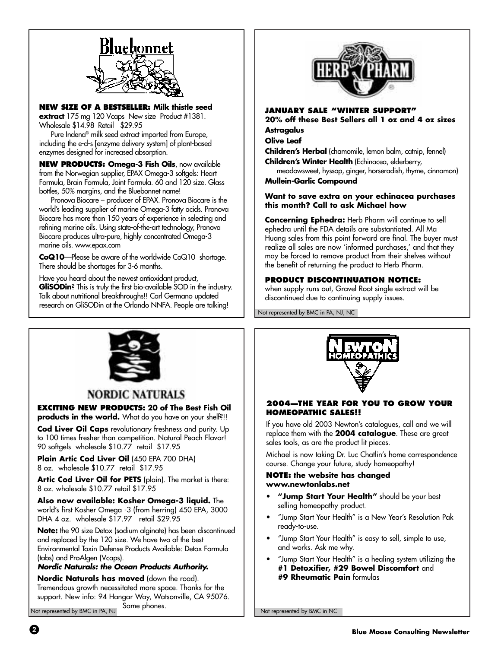

**NEW SIZE OF A BESTSELLER: Milk thistle seed extract** 175 mg 120 Vcaps New size Product #1381. Wholesale \$14.98 Retail \$29.95

Pure Indena® milk seed extract imported from Europe, including the e-d-s [enzyme delivery system] of plant-based enzymes designed for increased absorption.

**NEW PRODUCTS: Omega-3 Fish Oils**, now available from the Norwegian supplier, EPAX Omega-3 softgels: Heart Formula, Brain Formula, Joint Formula. 60 and 120 size. Glass bottles, 50% margins, and the Bluebonnet name!

Pronova Biocare – producer of EPAX. Pronova Biocare is the world's leading supplier of marine Omega-3 fatty acids. Pronova Biocare has more than 150 years of experience in selecting and refining marine oils. Using state-of-the-art technology, Pronova Biocare produces ultra-pure, highly concentrated Omega-3 marine oils. www.epax.com

**CoQ10**—Please be aware of the worldwide CoQ10 shortage. There should be shortages for 3-6 months.

Have you heard about the newest antioxidant product, **GliSODin**? This is truly the first bio-available SOD in the industry. Talk about nutritional breakthroughs!! Carl Germano updated research on GliSODin at the Orlando NNFA. People are talking!



#### **JANUARY SALE "WINTER SUPPORT"**

**20% off these Best Sellers all 1 oz and 4 oz sizes Astragalus**

#### **Olive Leaf**

**Children's Herbal** (chamomile, lemon balm, catnip, fennel) **Children's Winter Health** (Echinacea, elderberry,

meadowsweet, hyssop, ginger, horseradish, thyme, cinnamon) **Mullein-Garlic Compound**

#### **Want to save extra on your echinacea purchases this month? Call to ask Michael how**

**Concerning Ephedra:** Herb Pharm will continue to sell ephedra until the FDA details are substantiated. All Ma Huang sales from this point forward are final. The buyer must realize all sales are now 'informed purchases,' and that they may be forced to remove product from their shelves without the benefit of returning the product to Herb Pharm.

#### **PRODUCT DISCONTINUATION NOTICE:**

when supply runs out, Gravel Root single extract will be discontinued due to continuing supply issues.

Not represented by BMC in PA, NJ, NC



#### **NORDIC NATURALS**

**EXCITING NEW PRODUCTS: 20 of The Best Fish Oil**

**products in the world.** What do you have on your shelf?!!

**Cod Liver Oil Caps** revolutionary freshness and purity. Up to 100 times fresher than competition. Natural Peach Flavor! 90 softgels wholesale \$10.77 retail \$17.95

**Plain Artic Cod Liver Oil** (450 EPA 700 DHA) 8 oz. wholesale \$10.77 retail \$17.95

**Artic Cod Liver Oil for PETS** (plain). The market is there: 8 oz. wholesale \$10.77 retail \$17.95

**Also now available: Kosher Omega-3 liquid.** The world's first Kosher Omega -3 (from herring) 450 EPA, 3000 DHA 4 oz. wholesale \$17.97 retail \$29.95

**Note:** the 90 size Detox (sodium alginate) has been discontinued and replaced by the 120 size. We have two of the best Environmental Toxin Defense Products Available: Detox Formula (tabs) and ProAlgen (Vcaps).

#### **Nordic Naturals: the Ocean Products Authority.**

**Nordic Naturals has moved** (down the road). Tremendous growth necessitated more space. Thanks for the support. New info: 94 Hangar Way, Watsonville, CA 95076. Same phones.

Not represented by BMC in PA, NJ



#### **2004—THE YEAR FOR YOU TO GROW YOUR HOMEOPATHIC SALES!!**

If you have old 2003 Newton's catalogues, call and we will replace them with the **2004 catalogue**. These are great sales tools, as are the product lit pieces.

Michael is now taking Dr. Luc Chatlin's home correspondence course. Change your future, study homeopathy!

#### **NOTE: the website has changed www.newtonlabs.net**

- **"Jump Start Your Health"** should be your best selling homeopathy product.
- "Jump Start Your Health" is a New Year's Resolution Pak ready-to-use.
- "Jump Start Your Health" is easy to sell, simple to use, and works. Ask me why.
- "Jump Start Your Health" is a healing system utilizing the **#1 Detoxifier, #29 Bowel Discomfort** and **#9 Rheumatic Pain** formulas

Not represented by BMC in NC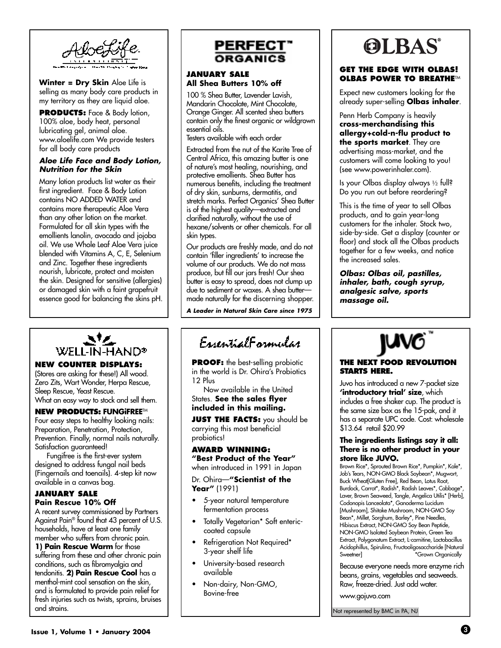

**Winter = Dry Skin** Aloe Life is selling as many body care products in my territory as they are liquid aloe.

**PRODUCTS:** Face & Body lotion, 100% aloe, body heat, personal lubricating gel, animal aloe. www.aloelife.com We provide testers for all body care products

#### **Aloe Life Face and Body Lotion, Nutrition for the Skin**

Many lotion products list water as their first ingredient. Face & Body Lotion contains NO ADDED WATER and contains more therapeutic Aloe Vera than any other lotion on the market. Formulated for all skin types with the emollients lanolin, avocado and jojoba oil. We use Whole Leaf Aloe Vera juice blended with Vitamins A, C, E, Selenium and Zinc. Together these ingredients nourish, lubricate, protect and moisten the skin. Designed for sensitive (allergies) or damaged skin with a faint grapefruit essence good for balancing the skins pH.



#### **NEW COUNTER DISPLAYS:**

(Stores are asking for these!) All wood. Zero Zits, Wart Wonder, Herpa Rescue, Sleep Rescue, Yeast Rescue. What an easy way to stock and sell them.

#### **NEW PRODUCTS: FUNGiFREE**TM

Four easy steps to healthy looking nails: Preparation, Penetration, Protection, Prevention. Finally, normal nails naturally. Satisfaction guaranteed!

Fungifree is the first-ever system designed to address fungal nail beds (Fingernails and toenails). 4-step kit now available in a canvas bag.

#### **JANUARY SALE Pain Rescue 10% Off**

A recent survey commissioned by Partners Against Pain® found that 43 percent of U.S. households, have at least one family member who suffers from chronic pain. **1) Pain Rescue Warm** for those suffering from these and other chronic pain conditions, such as fibromyalgia and tendonitis. **2) Pain Rescue Cool** has a menthol-mint cool sensation on the skin, and is formulated to provide pain relief for fresh injuries such as twists, sprains, bruises and strains.



#### **JANUARY SALE All Shea Butters 10% off**

100 % Shea Butter, Lavender Lavish, Mandarin Chocolate, Mint Chocolate, Orange Ginger. All scented shea butters contain only the finest organic or wildgrown essential oils.

Testers available with each order

Extracted from the nut of the Karite Tree of Central Africa, this amazing butter is one of nature's most healing, nourishing, and protective emollients. Shea Butter has numerous benefits, including the treatment of dry skin, sunburns, dermatitis, and stretch marks. Perfect Organics' Shea Butter is of the highest quality—extracted and clarified naturally, without the use of hexane/solvents or other chemicals. For all skin types.

Our products are freshly made, and do not contain 'filler ingredients' to increase the volume of our products. We do not mass produce, but fill our jars fresh! Our shea butter is easy to spread, does not clump up due to sediment or waxes. A shea butter made naturally for the discerning shopper.

**A Leader in Natural Skin Care since 1975**

## EssentialFormular

**PROOF:** the best-selling probiotic in the world is Dr. Ohira's Probiotics 12 Plus

Now available in the United States. **See the sales flyer included in this mailing.**

**JUST THE FACTS:** you should be carrying this most beneficial probiotics!

**AWARD WINNING: "Best Product of the Year"** when introduced in 1991 in Japan

Dr. Ohira—**"Scientist of the**

**Year"** (1991)

- 5-year natural temperature fermentation process
- Totally Vegetarian\* Soft entericcoated capsule
- Refrigeration Not Required\* 3-year shelf life
- University-based research available
- Non-dairy, Non-GMO, Bovine-free

# **OLBAS**

#### **GET THE EDGE WITH OLBAS! OLBAS POWER TO BREATHE™**

Expect new customers looking for the already super-selling **Olbas inhaler**.

Penn Herb Company is heavily **cross-merchandising this allergy+cold-n-flu product to the sports market**. They are advertising mass-market, and the customers will come looking to you! (see www.powerinhaler.com).

Is your Olbas display always ½ full? Do you run out before reordering?

This is the time of year to sell Olbas products, and to gain year-long customers for the inhaler. Stock two, side-by-side. Get a display (counter or floor) and stock all the Olbas products together for a few weeks, and notice the increased sales.

**Olbas: Olbas oil, pastilles, inhaler, bath, cough syrup, analgesic salve, sports massage oil.**



#### **THE NEXT FOOD REVOLUTION STARTS HERE.**

Juvo has introduced a new 7-packet size **'introductory trial' size**, which includes a free shaker cup. The product is the same size box as the 15-pak, and it has a separate UPC code. Cost: wholesale \$13.64 retail \$20.99

#### **The ingredients listings say it all: There is no other product in your store like JUVO.**

Brown Rice\*, Sprouted Brown Rice\*, Pumpkin\*, Kale\*, Job's Tears, NON-GMO Black Soybean\*, Mugwort, Buck Wheat[Gluten Free], Red Bean, Lotus Root, Burdock, Carrot\*, Radish\*, Radish Leaves\*, Cabbage\*, Laver, Brown Seaweed, Tangle, Angelica Utilis\* [Herb], Codonopis Lanceolata\*, Ganoderma Lucidum [Mushroom], Shitake Mushroom, NON-GMO Soy Bean\*, Millet, Sorghum, Barley\*, Pine Needles, Hibiscus Extract, NON-GMO Soy Bean Peptide, NON-GMO Isolated Soybean Protein, Green Tea Extract, Polygonatum Extract, L-carnitine, Lactobacillus Acidophillus, Spirulina, Fructooligosaccharide [Natural Sweetner] **\*Grown Organically** 

Because everyone needs more enzyme rich beans, grains, vegetables and seaweeds. Raw, freeze-dried. Just add water.

www.gojuvo.com

Not represented by BMC in PA, NJ